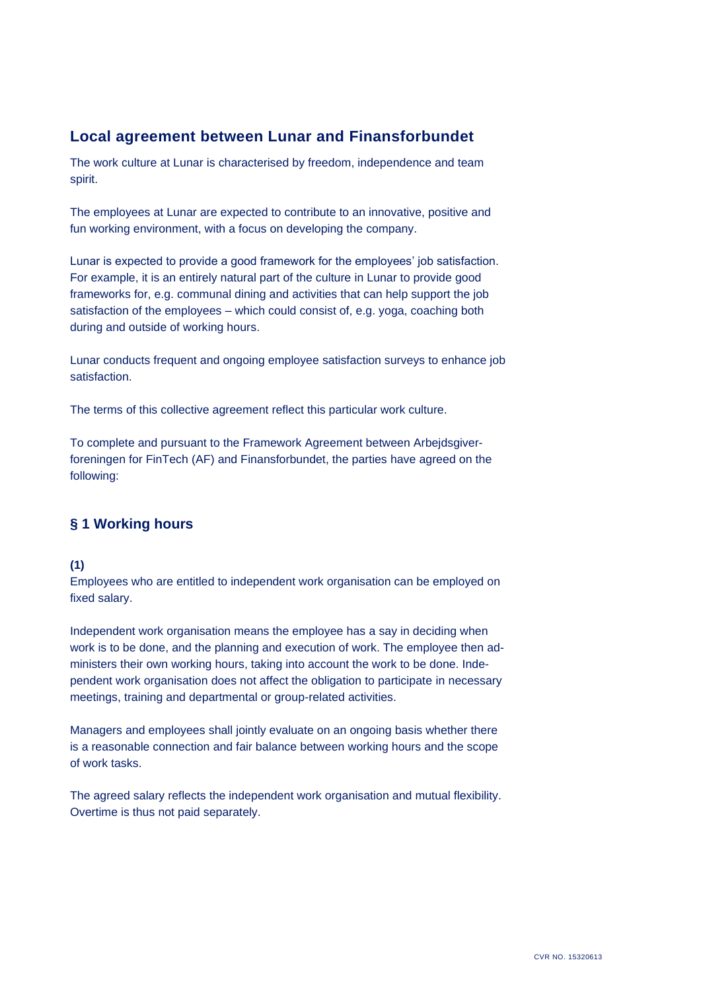# **Local agreement between Lunar and Finansforbundet**

The work culture at Lunar is characterised by freedom, independence and team spirit.

The employees at Lunar are expected to contribute to an innovative, positive and fun working environment, with a focus on developing the company.

Lunar is expected to provide a good framework for the employees' job satisfaction. For example, it is an entirely natural part of the culture in Lunar to provide good frameworks for, e.g. communal dining and activities that can help support the job satisfaction of the employees – which could consist of, e.g. yoga, coaching both during and outside of working hours.

Lunar conducts frequent and ongoing employee satisfaction surveys to enhance job satisfaction.

The terms of this collective agreement reflect this particular work culture.

To complete and pursuant to the Framework Agreement between Arbejdsgiverforeningen for FinTech (AF) and Finansforbundet, the parties have agreed on the following:

## **§ 1 Working hours**

## **(1)**

Employees who are entitled to independent work organisation can be employed on fixed salary.

Independent work organisation means the employee has a say in deciding when work is to be done, and the planning and execution of work. The employee then administers their own working hours, taking into account the work to be done. Independent work organisation does not affect the obligation to participate in necessary meetings, training and departmental or group-related activities.

Managers and employees shall jointly evaluate on an ongoing basis whether there is a reasonable connection and fair balance between working hours and the scope of work tasks.

The agreed salary reflects the independent work organisation and mutual flexibility. Overtime is thus not paid separately.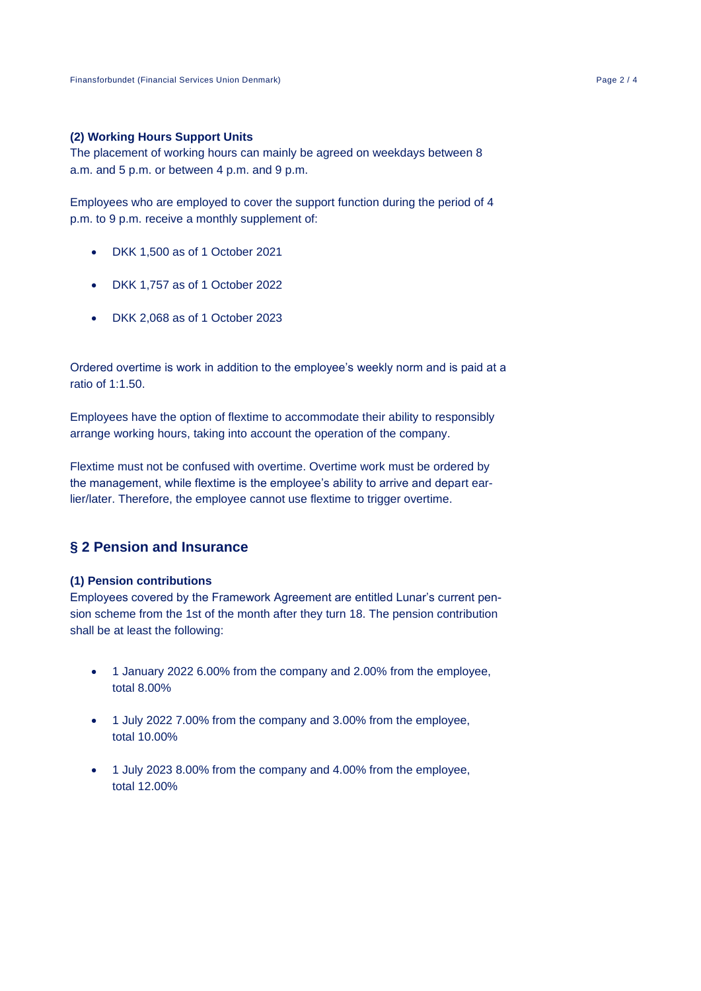#### **(2) Working Hours Support Units**

The placement of working hours can mainly be agreed on weekdays between 8 a.m. and 5 p.m. or between 4 p.m. and 9 p.m.

Employees who are employed to cover the support function during the period of 4 p.m. to 9 p.m. receive a monthly supplement of:

- DKK 1,500 as of 1 October 2021
- DKK 1,757 as of 1 October 2022
- DKK 2,068 as of 1 October 2023

Ordered overtime is work in addition to the employee's weekly norm and is paid at a ratio of 1:1.50.

Employees have the option of flextime to accommodate their ability to responsibly arrange working hours, taking into account the operation of the company.

Flextime must not be confused with overtime. Overtime work must be ordered by the management, while flextime is the employee's ability to arrive and depart earlier/later. Therefore, the employee cannot use flextime to trigger overtime.

## **§ 2 Pension and Insurance**

#### **(1) Pension contributions**

Employees covered by the Framework Agreement are entitled Lunar's current pension scheme from the 1st of the month after they turn 18. The pension contribution shall be at least the following:

- 1 January 2022 6.00% from the company and 2.00% from the employee, total 8.00%
- 1 July 2022 7.00% from the company and 3.00% from the employee, total 10.00%
- 1 July 2023 8.00% from the company and 4.00% from the employee, total 12.00%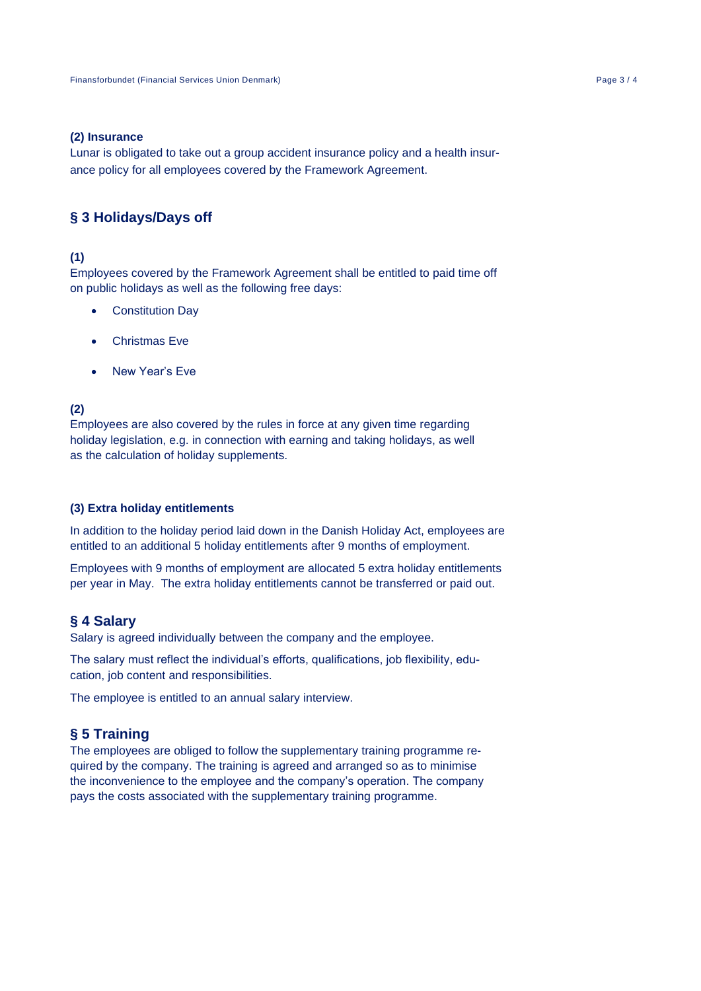#### **(2) Insurance**

Lunar is obligated to take out a group accident insurance policy and a health insurance policy for all employees covered by the Framework Agreement.

## **§ 3 Holidays/Days off**

### **(1)**

Employees covered by the Framework Agreement shall be entitled to paid time off on public holidays as well as the following free days:

- **Constitution Dav**
- Christmas Eve
- New Year's Eve

### **(2)**

Employees are also covered by the rules in force at any given time regarding holiday legislation, e.g. in connection with earning and taking holidays, as well as the calculation of holiday supplements.

#### **(3) Extra holiday entitlements**

In addition to the holiday period laid down in the Danish Holiday Act, employees are entitled to an additional 5 holiday entitlements after 9 months of employment.

Employees with 9 months of employment are allocated 5 extra holiday entitlements per year in May. The extra holiday entitlements cannot be transferred or paid out.

#### **§ 4 Salary**

Salary is agreed individually between the company and the employee.

The salary must reflect the individual's efforts, qualifications, job flexibility, education, job content and responsibilities.

The employee is entitled to an annual salary interview.

### **§ 5 Training**

The employees are obliged to follow the supplementary training programme required by the company. The training is agreed and arranged so as to minimise the inconvenience to the employee and the company's operation. The company pays the costs associated with the supplementary training programme.